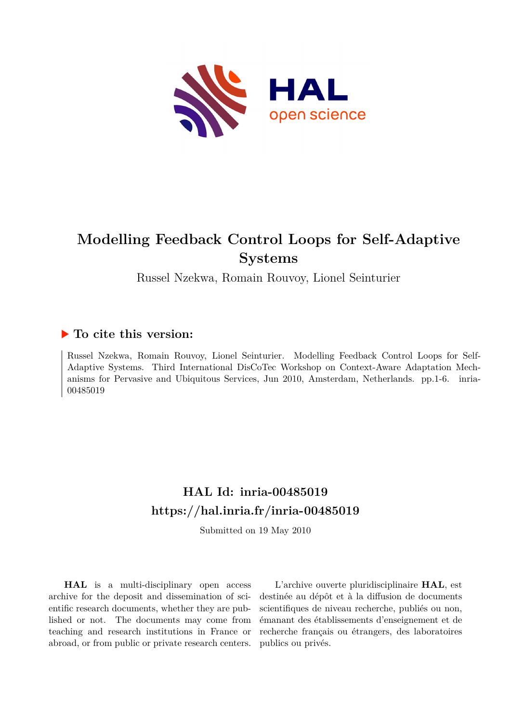

# **Modelling Feedback Control Loops for Self-Adaptive Systems**

Russel Nzekwa, Romain Rouvoy, Lionel Seinturier

#### **To cite this version:**

Russel Nzekwa, Romain Rouvoy, Lionel Seinturier. Modelling Feedback Control Loops for Self-Adaptive Systems. Third International DisCoTec Workshop on Context-Aware Adaptation Mechanisms for Pervasive and Ubiquitous Services, Jun 2010, Amsterdam, Netherlands. pp.1-6. inria-00485019

## **HAL Id: inria-00485019 <https://hal.inria.fr/inria-00485019>**

Submitted on 19 May 2010

**HAL** is a multi-disciplinary open access archive for the deposit and dissemination of scientific research documents, whether they are published or not. The documents may come from teaching and research institutions in France or abroad, or from public or private research centers.

L'archive ouverte pluridisciplinaire **HAL**, est destinée au dépôt et à la diffusion de documents scientifiques de niveau recherche, publiés ou non, émanant des établissements d'enseignement et de recherche français ou étrangers, des laboratoires publics ou privés.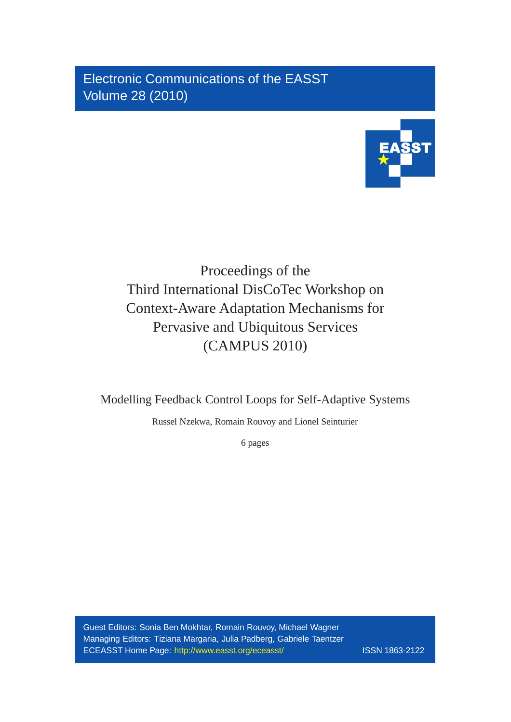Electronic Communications of the EASST Volume 28 (2010)



# Proceedings of the Third International DisCoTec Workshop on Context-Aware Adaptation Mechanisms for Pervasive and Ubiquitous Services (CAMPUS 2010)

Modelling Feedback Control Loops for Self-Adaptive Systems

Russel Nzekwa, Romain Rouvoy and Lionel Seinturier

6 pages

Guest Editors: Sonia Ben Mokhtar, Romain Rouvoy, Michael Wagner Managing Editors: Tiziana Margaria, Julia Padberg, Gabriele Taentzer ECEASST Home Page: <http://www.easst.org/eceasst/> ISSN 1863-2122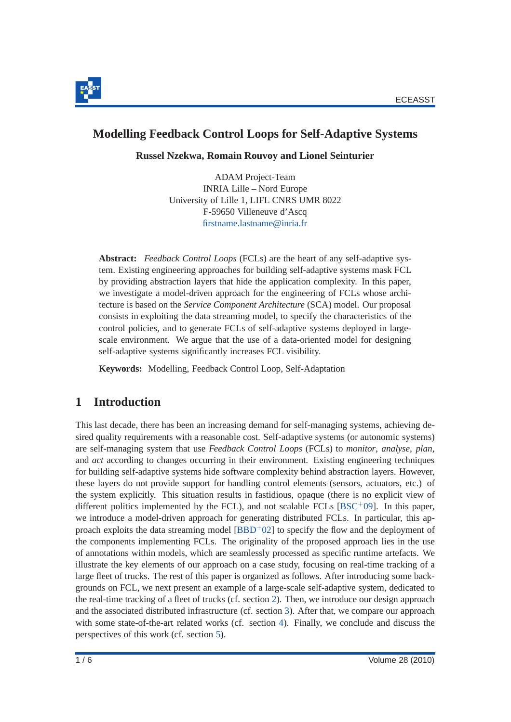

## **Modelling Feedback Control Loops for Self-Adaptive Systems**

**Russel Nzekwa, Romain Rouvoy and Lionel Seinturier**

ADAM Project-Team INRIA Lille – Nord Europe University of Lille 1, LIFL CNRS UMR 8022 F-59650 Villeneuve d'Ascq [firstname.lastname@inria.fr](mailto:firstname.lastname@inria.fr)

**Abstract:** *Feedback Control Loops* (FCLs) are the heart of any self-adaptive system. Existing engineering approaches for building self-adaptive systems mask FCL by providing abstraction layers that hide the application complexity. In this paper, we investigate a model-driven approach for the engineering of FCLs whose architecture is based on the *Service Component Architecture* (SCA) model. Our proposal consists in exploiting the data streaming model, to specify the characteristics of the control policies, and to generate FCLs of self-adaptive systems deployed in largescale environment. We argue that the use of a data-oriented model for designing self-adaptive systems significantly increases FCL visibility.

**Keywords:** Modelling, Feedback Control Loop, Self-Adaptation

## **1 Introduction**

This last decade, there has been an increasing demand for self-managing systems, achieving desired quality requirements with a reasonable cost. Self-adaptive systems (or autonomic systems) are self-managing system that use *Feedback Control Loops* (FCLs) to *monitor*, *analyse*, *plan*, and *act* according to changes occurring in their environment. Existing engineering techniques for building self-adaptive systems hide software complexity behind abstraction layers. However, these layers do not provide support for handling control elements (sensors, actuators, etc.) of the system explicitly. This situation results in fastidious, opaque (there is no explicit view of different politics implemented by the FCL), and not scalable FCLs  $[BSC^+09]$ . In this paper, we introduce a model-driven approach for generating distributed FCLs. In particular, this approach exploits the data streaming model  $[BBD<sup>+</sup>02]$  to specify the flow and the deployment of the components implementing FCLs. The originality of the proposed approach lies in the use of annotations within models, which are seamlessly processed as specific runtime artefacts. We illustrate the key elements of our approach on a case study, focusing on real-time tracking of a large fleet of trucks. The rest of this paper is organized as follows. After introducing some backgrounds on FCL, we next present an example of a large-scale self-adaptive system, dedicated to the real-time tracking of a fleet of trucks (cf. section [2\)](#page-3-0). Then, we introduce our design approach and the associated distributed infrastructure (cf. section [3\)](#page-4-0). After that, we compare our approach with some state-of-the-art related works (cf. section [4\)](#page-6-0). Finally, we conclude and discuss the perspectives of this work (cf. section [5\)](#page-6-1).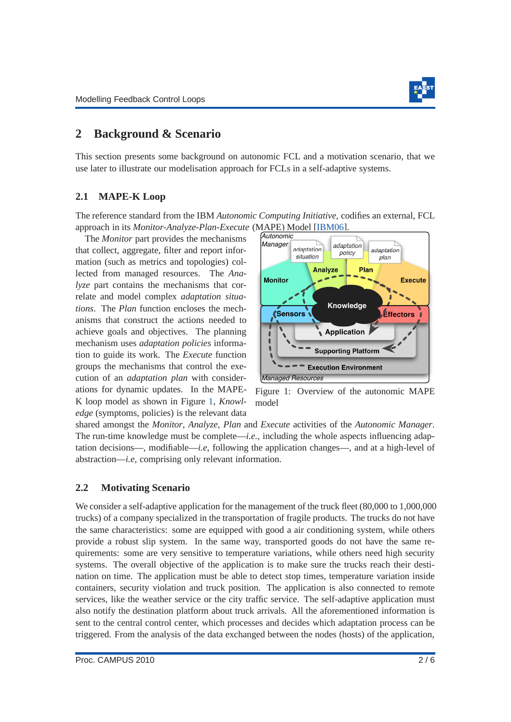

## <span id="page-3-0"></span>**2 Background & Scenario**

This section presents some background on autonomic FCL and a motivation scenario, that we use later to illustrate our modelisation approach for FCLs in a self-adaptive systems.

#### <span id="page-3-2"></span>**2.1 MAPE-K Loop**

The reference standard from the IBM *Autonomic Computing Initiative*, codifies an external, FCL approach in its *Monitor-Analyze-Plan-Execute* (MAPE) Model [\[IBM06\]](#page-7-2).

The *Monitor* part provides the mechanisms that collect, aggregate, filter and report information (such as metrics and topologies) collected from managed resources. The *Analyze* part contains the mechanisms that correlate and model complex *adaptation situations*. The *Plan* function encloses the mechanisms that construct the actions needed to achieve goals and objectives. The planning mechanism uses *adaptation policies* information to guide its work. The *Execute* function groups the mechanisms that control the execution of an *adaptation plan* with considerations for dynamic updates. In the MAPE-K loop model as shown in Figure [1,](#page-3-1) *Knowledge* (symptoms, policies) is the relevant data



<span id="page-3-1"></span>Figure 1: Overview of the autonomic MAPE model

shared amongst the *Monitor*, *Analyze*, *Plan* and *Execute* activities of the *Autonomic Manager*. The run-time knowledge must be complete—*i.e.*, including the whole aspects influencing adaptation decisions—, modifiable—*i.e*, following the application changes—, and at a high-level of abstraction—*i.e*, comprising only relevant information.

#### **2.2 Motivating Scenario**

We consider a self-adaptive application for the management of the truck fleet (80,000 to 1,000,000 trucks) of a company specialized in the transportation of fragile products. The trucks do not have the same characteristics: some are equipped with good a air conditioning system, while others provide a robust slip system. In the same way, transported goods do not have the same requirements: some are very sensitive to temperature variations, while others need high security systems. The overall objective of the application is to make sure the trucks reach their destination on time. The application must be able to detect stop times, temperature variation inside containers, security violation and truck position. The application is also connected to remote services, like the weather service or the city traffic service. The self-adaptive application must also notify the destination platform about truck arrivals. All the aforementioned information is sent to the central control center, which processes and decides which adaptation process can be triggered. From the analysis of the data exchanged between the nodes (hosts) of the application,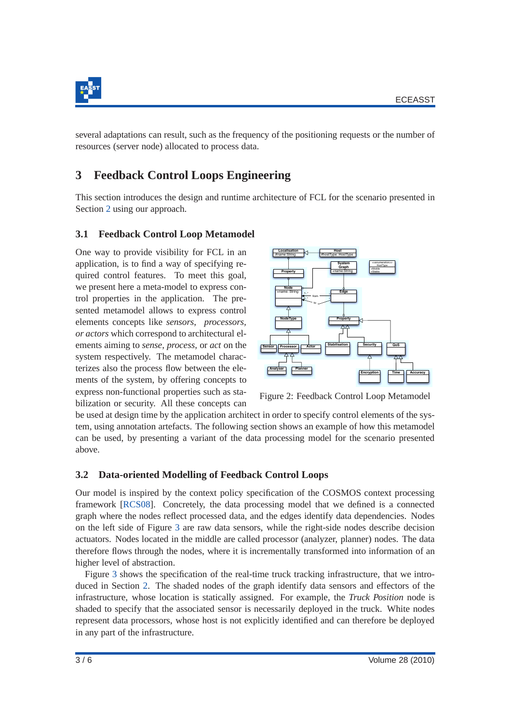

several adaptations can result, such as the frequency of the positioning requests or the number of resources (server node) allocated to process data.

## <span id="page-4-0"></span>**3 Feedback Control Loops Engineering**

This section introduces the design and runtime architecture of FCL for the scenario presented in Section [2](#page-3-0) using our approach.

#### **3.1 Feedback Control Loop Metamodel**

One way to provide visibility for FCL in an application, is to find a way of specifying required control features. To meet this goal, we present here a meta-model to express control properties in the application. The presented metamodel allows to express control elements concepts like *sensors*, *processors, or actors* which correspond to architectural elements aiming to *sense*, *process*, or *act* on the system respectively. The metamodel characterizes also the process flow between the elements of the system, by offering concepts to express non-functional properties such as stabilization or security. All these concepts can



Figure 2: Feedback Control Loop Metamodel

be used at design time by the application architect in order to specify control elements of the system, using annotation artefacts. The following section shows an example of how this metamodel can be used, by presenting a variant of the data processing model for the scenario presented above.

#### **3.2 Data-oriented Modelling of Feedback Control Loops**

Our model is inspired by the context policy specification of the COSMOS context processing framework [\[RCS08\]](#page-7-3). Concretely, the data processing model that we defined is a connected graph where the nodes reflect processed data, and the edges identify data dependencies. Nodes on the left side of Figure [3](#page-5-0) are raw data sensors, while the right-side nodes describe decision actuators. Nodes located in the middle are called processor (analyzer, planner) nodes. The data therefore flows through the nodes, where it is incrementally transformed into information of an higher level of abstraction.

Figure [3](#page-5-0) shows the specification of the real-time truck tracking infrastructure, that we introduced in Section [2.](#page-3-0) The shaded nodes of the graph identify data sensors and effectors of the infrastructure, whose location is statically assigned. For example, the *Truck Position* node is shaded to specify that the associated sensor is necessarily deployed in the truck. White nodes represent data processors, whose host is not explicitly identified and can therefore be deployed in any part of the infrastructure.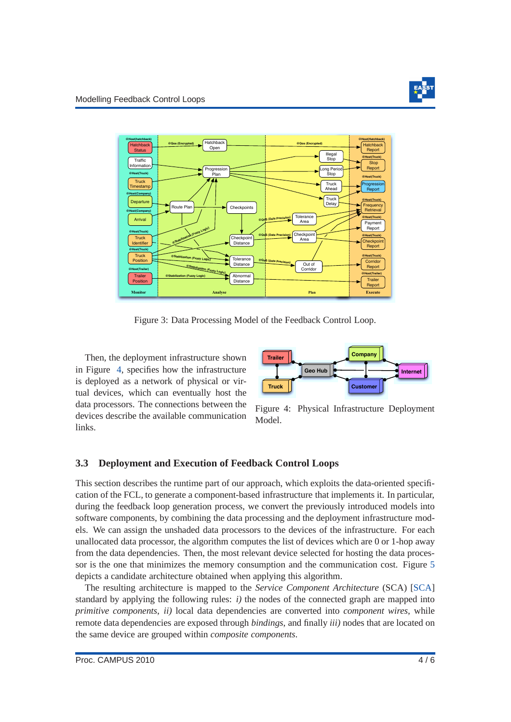

<span id="page-5-0"></span>

Figure 3: Data Processing Model of the Feedback Control Loop.

Then, the deployment infrastructure shown in Figure [4,](#page-5-1) specifies how the infrastructure is deployed as a network of physical or virtual devices, which can eventually host the data processors. The connections between the devices describe the available communication links.



<span id="page-5-1"></span>Figure 4: Physical Infrastructure Deployment Model.

## **3.3 Deployment and Execution of Feedback Control Loops**

This section describes the runtime part of our approach, which exploits the data-oriented specification of the FCL, to generate a component-based infrastructure that implements it. In particular, during the feedback loop generation process, we convert the previously introduced models into software components, by combining the data processing and the deployment infrastructure models. We can assign the unshaded data processors to the devices of the infrastructure. For each unallocated data processor, the algorithm computes the list of devices which are 0 or 1-hop away from the data dependencies. Then, the most relevant device selected for hosting the data processor is the one that minimizes the memory consumption and the communication cost. Figure [5](#page-6-2) depicts a candidate architecture obtained when applying this algorithm.

The resulting architecture is mapped to the *Service Component Architecture* (SCA) [\[SCA\]](#page-7-4) standard by applying the following rules:  $i$ ) the nodes of the connected graph are mapped into *primitive components*, *ii)* local data dependencies are converted into *component wires*, while remote data dependencies are exposed through *bindings*, and finally *iii)* nodes that are located on the same device are grouped within *composite components*.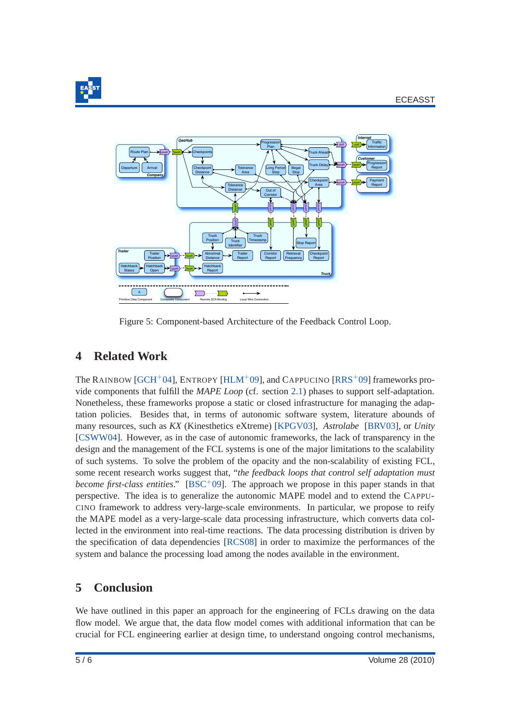

<span id="page-6-2"></span>

Figure 5: Component-based Architecture of the Feedback Control Loop.

## <span id="page-6-0"></span>**4 Related Work**

The RAINBOW [\[GCH](#page-7-5)+04], ENTROPY [\[HLM](#page-7-6)+09], and CAPPUCINO [\[RRS](#page-7-7)+09] frameworks provide components that fulfill the *MAPE Loop* (cf. section [2.1\)](#page-3-2) phases to support self-adaptation. Nonetheless, these frameworks propose a static or closed infrastructure for managing the adaptation policies. Besides that, in terms of autonomic software system, literature abounds of many resources, such as *KX* (Kinesthetics eXtreme) [\[KPGV03\]](#page-7-8), *Astrolabe* [\[BRV03\]](#page-7-9), or *Unity* [\[CSWW04\]](#page-7-10). However, as in the case of autonomic frameworks, the lack of transparency in the design and the management of the FCL systems is one of the major limitations to the scalability of such systems. To solve the problem of the opacity and the non-scalability of existing FCL, some recent research works suggest that, "*the feedback loops that control self adaptation must become first-class entities.*" [\[BSC](#page-7-0)<sup>+</sup>09]. The approach we propose in this paper stands in that perspective. The idea is to generalize the autonomic MAPE model and to extend the CAPPU-CINO framework to address very-large-scale environments. In particular, we propose to reify the MAPE model as a very-large-scale data processing infrastructure, which converts data collected in the environment into real-time reactions. The data processing distribution is driven by the specification of data dependencies [\[RCS08\]](#page-7-3) in order to maximize the performances of the system and balance the processing load among the nodes available in the environment.

## <span id="page-6-1"></span>**5 Conclusion**

We have outlined in this paper an approach for the engineering of FCLs drawing on the data flow model. We argue that, the data flow model comes with additional information that can be crucial for FCL engineering earlier at design time, to understand ongoing control mechanisms,